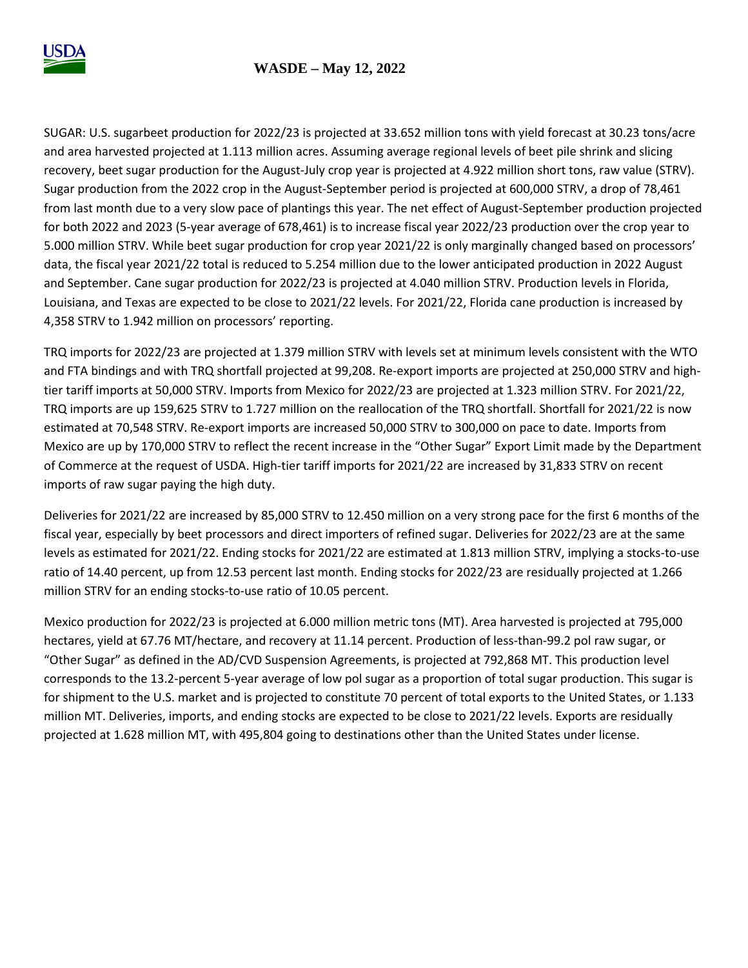

## **WASDE – May 12, 2022**

SUGAR: U.S. sugarbeet production for 2022/23 is projected at 33.652 million tons with yield forecast at 30.23 tons/acre and area harvested projected at 1.113 million acres. Assuming average regional levels of beet pile shrink and slicing recovery, beet sugar production for the August-July crop year is projected at 4.922 million short tons, raw value (STRV). Sugar production from the 2022 crop in the August-September period is projected at 600,000 STRV, a drop of 78,461 from last month due to a very slow pace of plantings this year. The net effect of August-September production projected for both 2022 and 2023 (5-year average of 678,461) is to increase fiscal year 2022/23 production over the crop year to 5.000 million STRV. While beet sugar production for crop year 2021/22 is only marginally changed based on processors' data, the fiscal year 2021/22 total is reduced to 5.254 million due to the lower anticipated production in 2022 August and September. Cane sugar production for 2022/23 is projected at 4.040 million STRV. Production levels in Florida, Louisiana, and Texas are expected to be close to 2021/22 levels. For 2021/22, Florida cane production is increased by 4,358 STRV to 1.942 million on processors' reporting.

TRQ imports for 2022/23 are projected at 1.379 million STRV with levels set at minimum levels consistent with the WTO and FTA bindings and with TRQ shortfall projected at 99,208. Re-export imports are projected at 250,000 STRV and hightier tariff imports at 50,000 STRV. Imports from Mexico for 2022/23 are projected at 1.323 million STRV. For 2021/22, TRQ imports are up 159,625 STRV to 1.727 million on the reallocation of the TRQ shortfall. Shortfall for 2021/22 is now estimated at 70,548 STRV. Re-export imports are increased 50,000 STRV to 300,000 on pace to date. Imports from Mexico are up by 170,000 STRV to reflect the recent increase in the "Other Sugar" Export Limit made by the Department of Commerce at the request of USDA. High-tier tariff imports for 2021/22 are increased by 31,833 STRV on recent imports of raw sugar paying the high duty.

Deliveries for 2021/22 are increased by 85,000 STRV to 12.450 million on a very strong pace for the first 6 months of the fiscal year, especially by beet processors and direct importers of refined sugar. Deliveries for 2022/23 are at the same levels as estimated for 2021/22. Ending stocks for 2021/22 are estimated at 1.813 million STRV, implying a stocks-to-use ratio of 14.40 percent, up from 12.53 percent last month. Ending stocks for 2022/23 are residually projected at 1.266 million STRV for an ending stocks-to-use ratio of 10.05 percent.

Mexico production for 2022/23 is projected at 6.000 million metric tons (MT). Area harvested is projected at 795,000 hectares, yield at 67.76 MT/hectare, and recovery at 11.14 percent. Production of less-than-99.2 pol raw sugar, or "Other Sugar" as defined in the AD/CVD Suspension Agreements, is projected at 792,868 MT. This production level corresponds to the 13.2-percent 5-year average of low pol sugar as a proportion of total sugar production. This sugar is for shipment to the U.S. market and is projected to constitute 70 percent of total exports to the United States, or 1.133 million MT. Deliveries, imports, and ending stocks are expected to be close to 2021/22 levels. Exports are residually projected at 1.628 million MT, with 495,804 going to destinations other than the United States under license.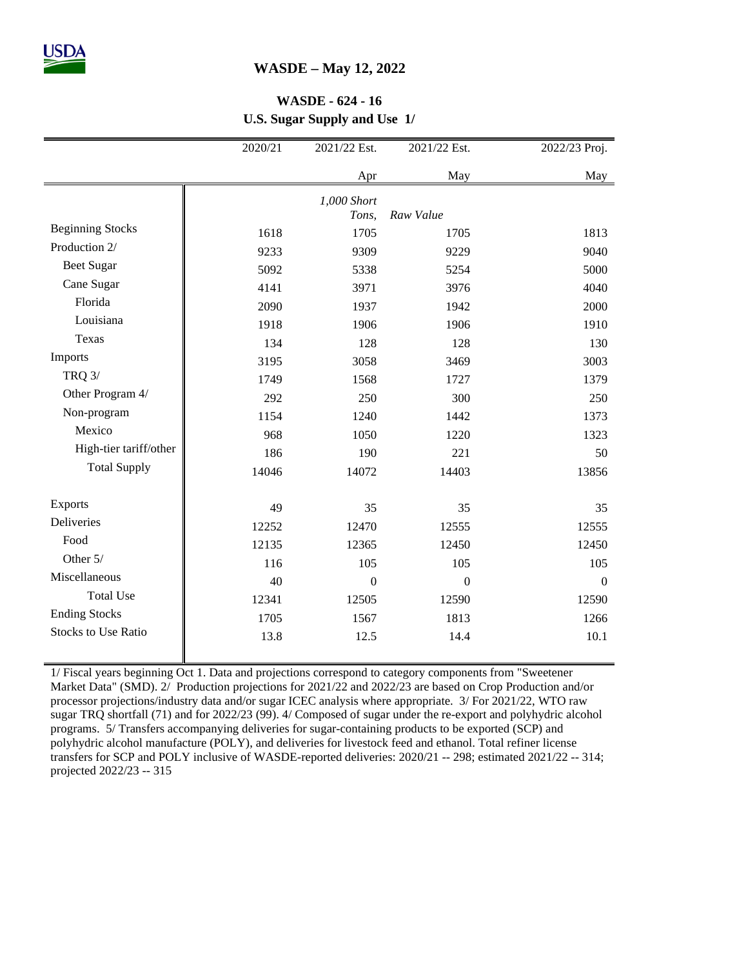## **WASDE – May 12, 2022**

## **WASDE - 624 - 16 U.S. Sugar Supply and Use 1/**

|                            | 2020/21 | 2021/22 Est.         | 2021/22 Est. | 2022/23 Proj.    |
|----------------------------|---------|----------------------|--------------|------------------|
|                            |         | Apr                  | May          | May              |
|                            |         | 1,000 Short<br>Tons, | Raw Value    |                  |
| <b>Beginning Stocks</b>    | 1618    | 1705                 | 1705         | 1813             |
| Production 2/              | 9233    | 9309                 | 9229         | 9040             |
| <b>Beet Sugar</b>          | 5092    | 5338                 | 5254         | 5000             |
| Cane Sugar                 | 4141    | 3971                 | 3976         | 4040             |
| Florida                    | 2090    | 1937                 | 1942         | 2000             |
| Louisiana                  | 1918    | 1906                 | 1906         | 1910             |
| Texas                      | 134     | 128                  | 128          | 130              |
| Imports                    | 3195    | 3058                 | 3469         | 3003             |
| <b>TRQ 3/</b>              | 1749    | 1568                 | 1727         | 1379             |
| Other Program 4/           | 292     | 250                  | 300          | 250              |
| Non-program                | 1154    | 1240                 | 1442         | 1373             |
| Mexico                     | 968     | 1050                 | 1220         | 1323             |
| High-tier tariff/other     | 186     | 190                  | 221          | 50               |
| <b>Total Supply</b>        | 14046   | 14072                | 14403        | 13856            |
| Exports                    | 49      | 35                   | 35           | 35               |
| <b>Deliveries</b>          | 12252   | 12470                | 12555        | 12555            |
| Food                       | 12135   | 12365                | 12450        | 12450            |
| Other 5/                   | 116     | 105                  | 105          | 105              |
| Miscellaneous              | 40      | $\boldsymbol{0}$     | $\mathbf{0}$ | $\boldsymbol{0}$ |
| <b>Total Use</b>           | 12341   | 12505                | 12590        | 12590            |
| <b>Ending Stocks</b>       | 1705    | 1567                 | 1813         | 1266             |
| <b>Stocks to Use Ratio</b> | 13.8    | 12.5                 | 14.4         | 10.1             |

1/ Fiscal years beginning Oct 1. Data and projections correspond to category components from "Sweetener Market Data" (SMD). 2/ Production projections for 2021/22 and 2022/23 are based on Crop Production and/or processor projections/industry data and/or sugar ICEC analysis where appropriate. 3/ For 2021/22, WTO raw sugar TRQ shortfall (71) and for 2022/23 (99). 4/ Composed of sugar under the re-export and polyhydric alcohol programs. 5/ Transfers accompanying deliveries for sugar-containing products to be exported (SCP) and polyhydric alcohol manufacture (POLY), and deliveries for livestock feed and ethanol. Total refiner license transfers for SCP and POLY inclusive of WASDE-reported deliveries: 2020/21 -- 298; estimated 2021/22 -- 314; projected 2022/23 -- 315